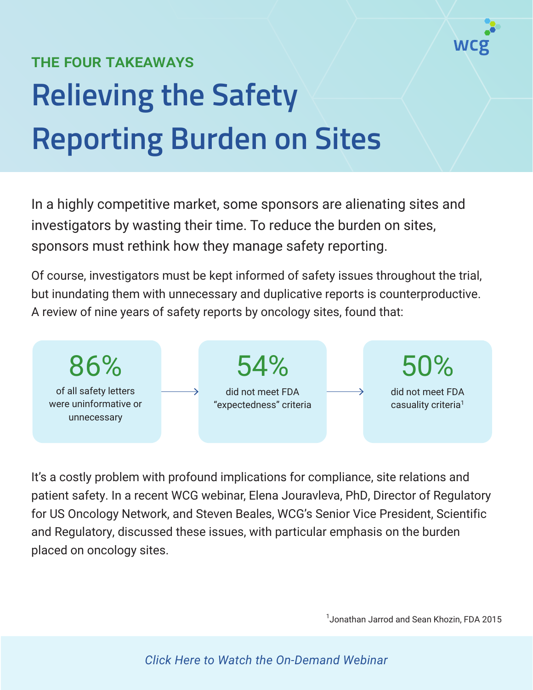

## THE FOUR TAKEAWAYS **Relieving the Safety Reporting Burden on Sites**

In a highly competitive market, some sponsors are alienating sites and investigators by wasting their time. To reduce the burden on sites, sponsors must rethink how they manage safety reporting.

Of course, investigators must be kept informed of safety issues throughout the trial, but inundating them with unnecessary and duplicative reports is counterproductive. A review of nine years of safety reports by oncology sites, found that:



It's a costly problem with profound implications for compliance, site relations and patient safety. In a recent WCG webinar, Elena Jouravleva, PhD, Director of Regulatory for US Oncology Network, and Steven Beales, WCG's Senior Vice President, Scientific and Regulatory, discussed these issues, with particular emphasis on the burden placed on oncology sites.

1 Jonathan Jarrod and Sean Khozin, FDA 2015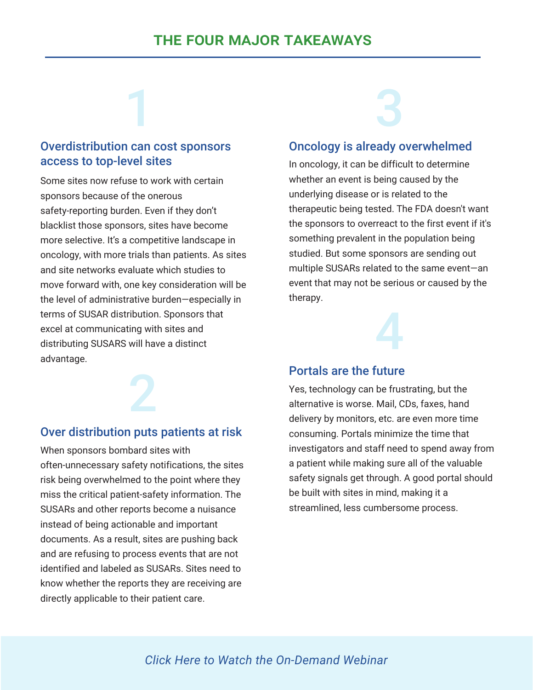#### Overdistribution can cost sponsors access to top-level sites

1

Some sites now refuse to work with certain sponsors because of the onerous safety-reporting burden. Even if they don't blacklist those sponsors, sites have become more selective. It's a competitive landscape in oncology, with more trials than patients. As sites and site networks evaluate which studies to move forward with, one key consideration will be the level of administrative burden—especially in terms of SUSAR distribution. Sponsors that excel at communicating with sites and distributing SUSARS will have a distinct advantage.

#### Over distribution puts patients at risk

2

When sponsors bombard sites with often-unnecessary safety notifications, the sites risk being overwhelmed to the point where they miss the critical patient-safety information. The SUSARs and other reports become a nuisance instead of being actionable and important documents. As a result, sites are pushing back and are refusing to process events that are not identified and labeled as SUSARs. Sites need to know whether the reports they are receiving are directly applicable to their patient care.

# 3

#### Oncology is already overwhelmed

In oncology, it can be difficult to determine whether an event is being caused by the underlying disease or is related to the therapeutic being tested. The FDA doesn't want the sponsors to overreact to the first event if it's something prevalent in the population being studied. But some sponsors are sending out multiple SUSARs related to the same event—an event that may not be serious or caused by the therapy.



#### Portals are the future

Yes, technology can be frustrating, but the alternative is worse. Mail, CDs, faxes, hand delivery by monitors, etc. are even more time consuming. Portals minimize the time that investigators and staff need to spend away from a patient while making sure all of the valuable safety signals get through. A good portal should be built with sites in mind, making it a streamlined, less cumbersome process.